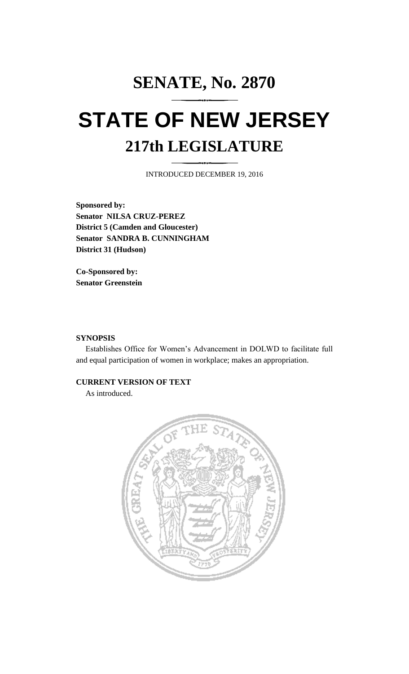# **SENATE, No. 2870 STATE OF NEW JERSEY 217th LEGISLATURE**

INTRODUCED DECEMBER 19, 2016

**Sponsored by: Senator NILSA CRUZ-PEREZ District 5 (Camden and Gloucester) Senator SANDRA B. CUNNINGHAM District 31 (Hudson)**

**Co-Sponsored by: Senator Greenstein**

#### **SYNOPSIS**

Establishes Office for Women's Advancement in DOLWD to facilitate full and equal participation of women in workplace; makes an appropriation.

## **CURRENT VERSION OF TEXT**

As introduced.

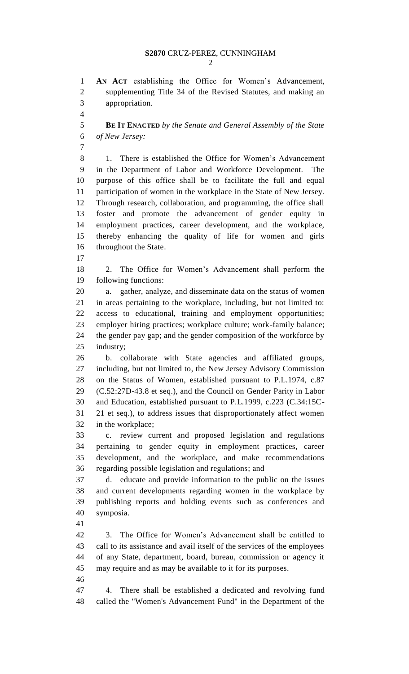**AN ACT** establishing the Office for Women's Advancement, supplementing Title 34 of the Revised Statutes, and making an appropriation.

 **BE IT ENACTED** *by the Senate and General Assembly of the State of New Jersey:*

 1. There is established the Office for Women's Advancement in the Department of Labor and Workforce Development. The purpose of this office shall be to facilitate the full and equal participation of women in the workplace in the State of New Jersey. Through research, collaboration, and programming, the office shall foster and promote the advancement of gender equity in employment practices, career development, and the workplace, thereby enhancing the quality of life for women and girls throughout the State.

 2. The Office for Women's Advancement shall perform the following functions:

 a. gather, analyze, and disseminate data on the status of women in areas pertaining to the workplace, including, but not limited to: access to educational, training and employment opportunities; employer hiring practices; workplace culture; work-family balance; the gender pay gap; and the gender composition of the workforce by industry;

 b. collaborate with State agencies and affiliated groups, including, but not limited to, the New Jersey Advisory Commission on the Status of Women, established pursuant to P.L.1974, c.87 (C.52:27D-43.8 et seq.), and the Council on Gender Parity in Labor and Education, established pursuant to P.L.1999, c.223 (C.34:15C- 21 et seq.), to address issues that disproportionately affect women in the workplace;

 c. review current and proposed legislation and regulations pertaining to gender equity in employment practices, career development, and the workplace, and make recommendations regarding possible legislation and regulations; and

 d. educate and provide information to the public on the issues and current developments regarding women in the workplace by publishing reports and holding events such as conferences and symposia.

 3. The Office for Women's Advancement shall be entitled to call to its assistance and avail itself of the services of the employees of any State, department, board, bureau, commission or agency it may require and as may be available to it for its purposes.

 4. There shall be established a dedicated and revolving fund called the "Women's Advancement Fund" in the Department of the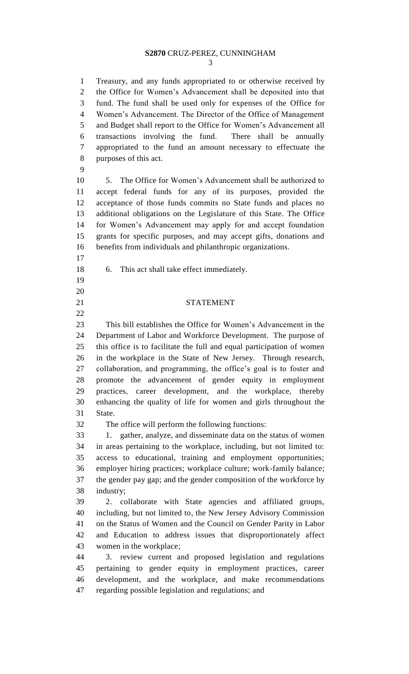### **S2870** CRUZ-PEREZ, CUNNINGHAM

 Treasury, and any funds appropriated to or otherwise received by the Office for Women's Advancement shall be deposited into that fund. The fund shall be used only for expenses of the Office for Women's Advancement. The Director of the Office of Management and Budget shall report to the Office for Women's Advancement all transactions involving the fund. There shall be annually appropriated to the fund an amount necessary to effectuate the purposes of this act.

 5. The Office for Women's Advancement shall be authorized to accept federal funds for any of its purposes, provided the acceptance of those funds commits no State funds and places no additional obligations on the Legislature of this State. The Office for Women's Advancement may apply for and accept foundation grants for specific purposes, and may accept gifts, donations and benefits from individuals and philanthropic organizations.

- 
- 

6. This act shall take effect immediately.

### 21 STATEMENT

 This bill establishes the Office for Women's Advancement in the Department of Labor and Workforce Development. The purpose of this office is to facilitate the full and equal participation of women in the workplace in the State of New Jersey. Through research, collaboration, and programming, the office's goal is to foster and promote the advancement of gender equity in employment practices, career development, and the workplace, thereby enhancing the quality of life for women and girls throughout the State.

The office will perform the following functions:

 1. gather, analyze, and disseminate data on the status of women in areas pertaining to the workplace, including, but not limited to: access to educational, training and employment opportunities; employer hiring practices; workplace culture; work-family balance; the gender pay gap; and the gender composition of the workforce by industry;

 2. collaborate with State agencies and affiliated groups, including, but not limited to, the New Jersey Advisory Commission on the Status of Women and the Council on Gender Parity in Labor and Education to address issues that disproportionately affect women in the workplace;

 3. review current and proposed legislation and regulations pertaining to gender equity in employment practices, career development, and the workplace, and make recommendations regarding possible legislation and regulations; and